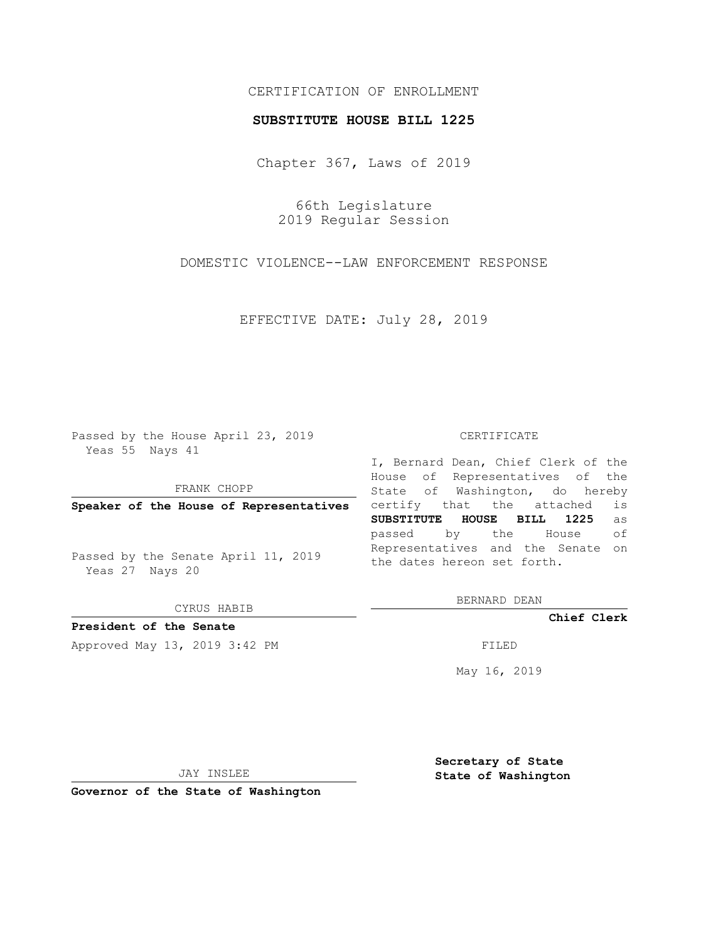## CERTIFICATION OF ENROLLMENT

### **SUBSTITUTE HOUSE BILL 1225**

Chapter 367, Laws of 2019

66th Legislature 2019 Regular Session

DOMESTIC VIOLENCE--LAW ENFORCEMENT RESPONSE

EFFECTIVE DATE: July 28, 2019

Passed by the House April 23, 2019 Yeas 55 Nays 41

FRANK CHOPP

**Speaker of the House of Representatives**

Passed by the Senate April 11, 2019 Yeas 27 Nays 20

CYRUS HABIB

**President of the Senate**

Approved May 13, 2019 3:42 PM

#### CERTIFICATE

I, Bernard Dean, Chief Clerk of the House of Representatives of the State of Washington, do hereby certify that the attached is **SUBSTITUTE HOUSE BILL 1225** as passed by the House of Representatives and the Senate on the dates hereon set forth.

BERNARD DEAN

**Chief Clerk**

May 16, 2019

JAY INSLEE

**Governor of the State of Washington**

**Secretary of State State of Washington**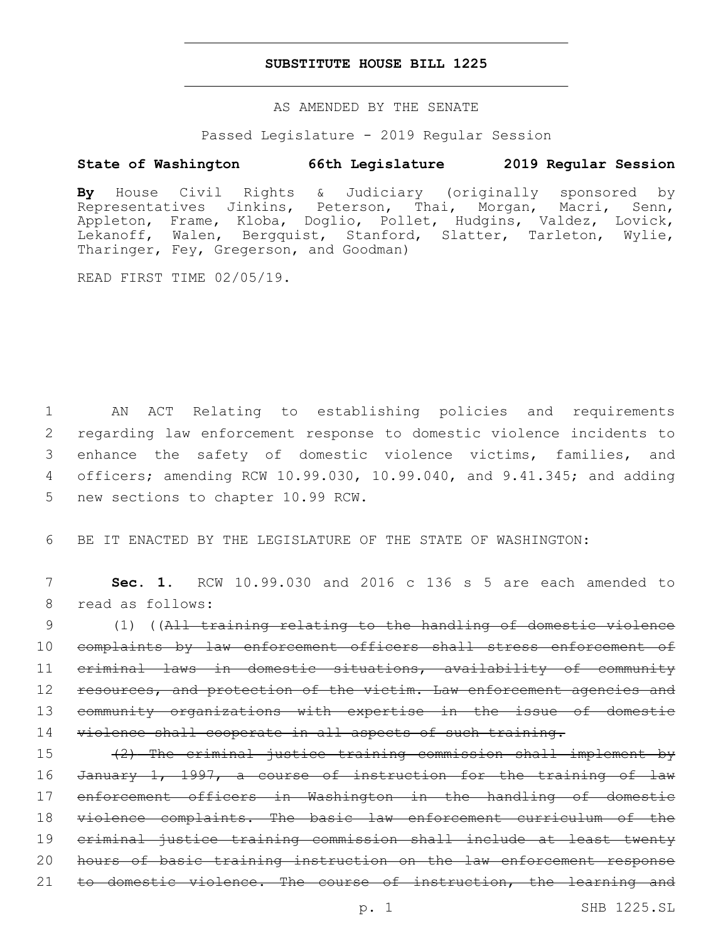## **SUBSTITUTE HOUSE BILL 1225**

AS AMENDED BY THE SENATE

Passed Legislature - 2019 Regular Session

# **State of Washington 66th Legislature 2019 Regular Session**

**By** House Civil Rights & Judiciary (originally sponsored by Representatives Jinkins, Peterson, Thai, Morgan, Macri, Senn, Appleton, Frame, Kloba, Doglio, Pollet, Hudgins, Valdez, Lovick, Lekanoff, Walen, Bergquist, Stanford, Slatter, Tarleton, Wylie, Tharinger, Fey, Gregerson, and Goodman)

READ FIRST TIME 02/05/19.

 AN ACT Relating to establishing policies and requirements regarding law enforcement response to domestic violence incidents to enhance the safety of domestic violence victims, families, and officers; amending RCW 10.99.030, 10.99.040, and 9.41.345; and adding 5 new sections to chapter 10.99 RCW.

6 BE IT ENACTED BY THE LEGISLATURE OF THE STATE OF WASHINGTON:

7 **Sec. 1.** RCW 10.99.030 and 2016 c 136 s 5 are each amended to 8 read as follows:

9 (1) ((All training relating to the handling of domestic violence 10 complaints by law enforcement officers shall stress enforcement of 11 criminal laws in domestic situations, availability of community 12 resources, and protection of the victim. Law enforcement agencies and 13 community organizations with expertise in the issue of domestic 14 violence shall cooperate in all aspects of such training.

 (2) The criminal justice training commission shall implement by 16 January 1, 1997, a course of instruction for the training of law enforcement officers in Washington in the handling of domestic violence complaints. The basic law enforcement curriculum of the criminal justice training commission shall include at least twenty hours of basic training instruction on the law enforcement response 21 to domestic violence. The course of instruction, the learning and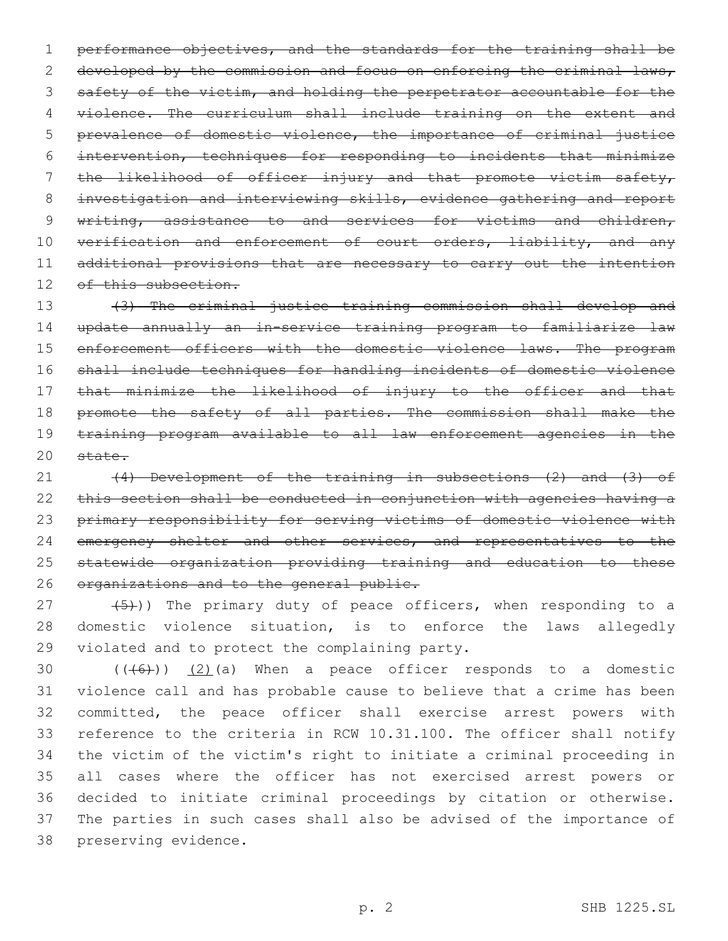1 performance objectives, and the standards for the training shall be 2 developed by the commission and focus on enforcing the criminal laws, 3 safety of the victim, and holding the perpetrator accountable for the 4 violence. The curriculum shall include training on the extent and 5 prevalence of domestic violence, the importance of criminal justice 6 intervention, techniques for responding to incidents that minimize 7 the likelihood of officer injury and that promote victim safety, 8 investigation and interviewing skills, evidence gathering and report 9 writing, assistance to and services for victims and children, 10 verification and enforcement of court orders, liability, and any 11 additional provisions that are necessary to carry out the intention 12 of this subsection.

 (3) The criminal justice training commission shall develop and update annually an in-service training program to familiarize law 15 enforcement officers with the domestic violence laws. The program shall include techniques for handling incidents of domestic violence that minimize the likelihood of injury to the officer and that 18 promote the safety of all parties. The commission shall make the training program available to all law enforcement agencies in the 20 state.

21 (4) Development of the training in subsections (2) and (3) of 22 this section shall be conducted in conjunction with agencies having a 23 primary responsibility for serving victims of domestic violence with 24 emergency shelter and other services, and representatives to the 25 statewide organization providing training and education to these 26 organizations and to the general public.

27 (5)) The primary duty of peace officers, when responding to a 28 domestic violence situation, is to enforce the laws allegedly 29 violated and to protect the complaining party.

 $((+6+))$   $(2)$  (a) When a peace officer responds to a domestic violence call and has probable cause to believe that a crime has been committed, the peace officer shall exercise arrest powers with reference to the criteria in RCW 10.31.100. The officer shall notify the victim of the victim's right to initiate a criminal proceeding in all cases where the officer has not exercised arrest powers or decided to initiate criminal proceedings by citation or otherwise. The parties in such cases shall also be advised of the importance of 38 preserving evidence.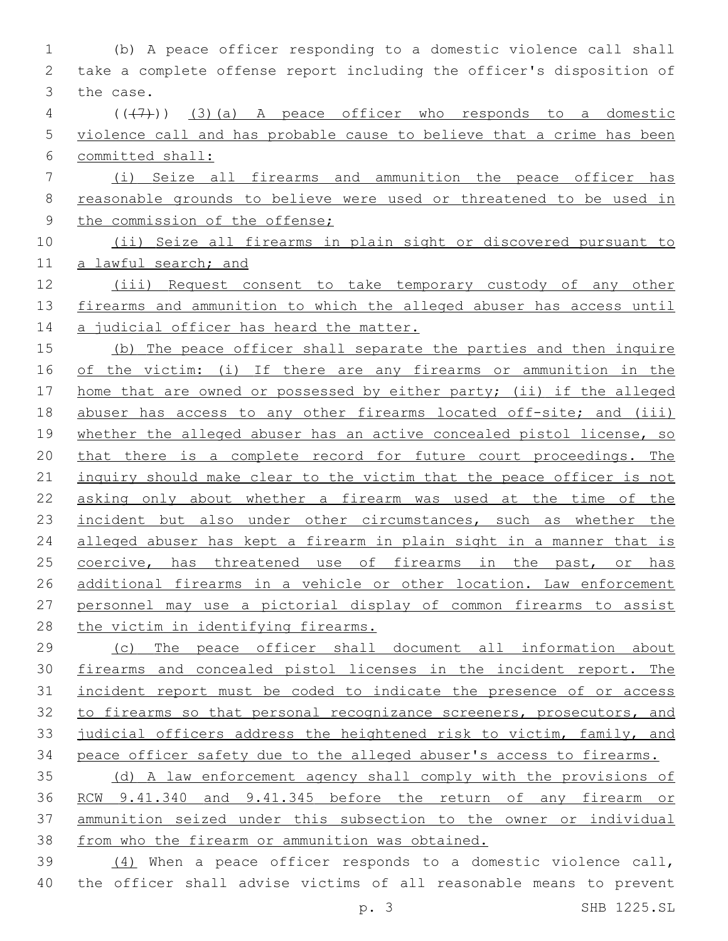(b) A peace officer responding to a domestic violence call shall take a complete offense report including the officer's disposition of 3 the case. ( $(\overline{+7})$ ) (3)(a) A peace officer who responds to a domestic violence call and has probable cause to believe that a crime has been committed shall: (i) Seize all firearms and ammunition the peace officer has reasonable grounds to believe were used or threatened to be used in 9 the commission of the offense; (ii) Seize all firearms in plain sight or discovered pursuant to a lawful search; and (iii) Request consent to take temporary custody of any other firearms and ammunition to which the alleged abuser has access until 14 a judicial officer has heard the matter. (b) The peace officer shall separate the parties and then inquire of the victim: (i) If there are any firearms or ammunition in the home that are owned or possessed by either party; (ii) if the alleged 18 abuser has access to any other firearms located off-site; and (iii) 19 whether the alleged abuser has an active concealed pistol license, so that there is a complete record for future court proceedings. The 21 inquiry should make clear to the victim that the peace officer is not asking only about whether a firearm was used at the time of the 23 incident but also under other circumstances, such as whether the alleged abuser has kept a firearm in plain sight in a manner that is 25 coercive, has threatened use of firearms in the past, or has 26 additional firearms in a vehicle or other location. Law enforcement personnel may use a pictorial display of common firearms to assist 28 the victim in identifying firearms. (c) The peace officer shall document all information about firearms and concealed pistol licenses in the incident report. The 31 incident report must be coded to indicate the presence of or access 32 to firearms so that personal recognizance screeners, prosecutors, and judicial officers address the heightened risk to victim, family, and peace officer safety due to the alleged abuser's access to firearms. (d) A law enforcement agency shall comply with the provisions of RCW 9.41.340 and 9.41.345 before the return of any firearm or ammunition seized under this subsection to the owner or individual from who the firearm or ammunition was obtained. (4) When a peace officer responds to a domestic violence call,

the officer shall advise victims of all reasonable means to prevent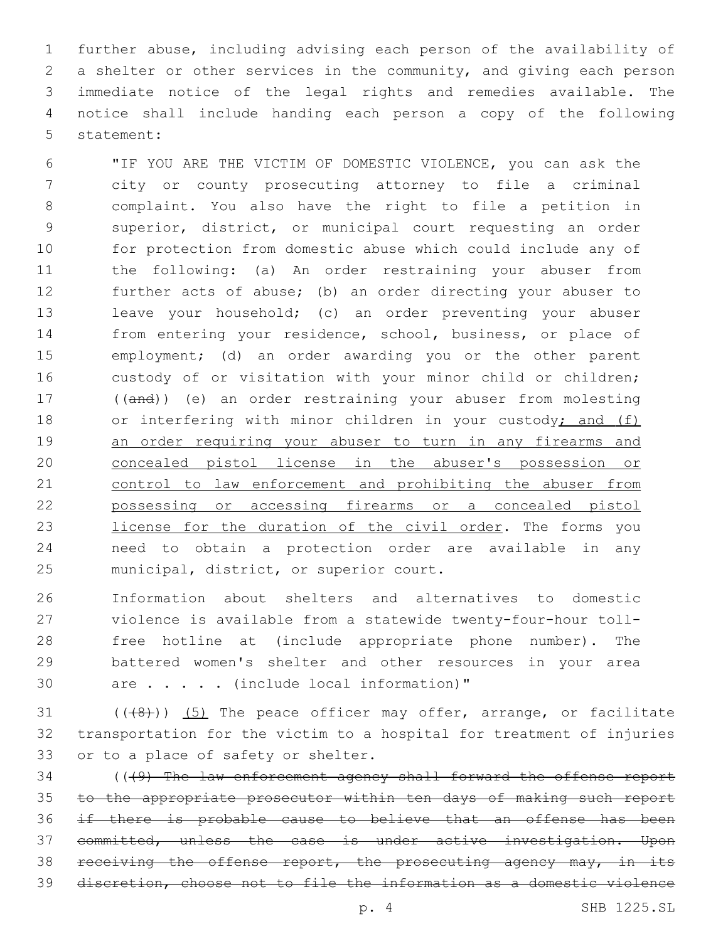further abuse, including advising each person of the availability of a shelter or other services in the community, and giving each person immediate notice of the legal rights and remedies available. The notice shall include handing each person a copy of the following 5 statement:

 "IF YOU ARE THE VICTIM OF DOMESTIC VIOLENCE, you can ask the city or county prosecuting attorney to file a criminal complaint. You also have the right to file a petition in superior, district, or municipal court requesting an order for protection from domestic abuse which could include any of the following: (a) An order restraining your abuser from further acts of abuse; (b) an order directing your abuser to leave your household; (c) an order preventing your abuser from entering your residence, school, business, or place of employment; (d) an order awarding you or the other parent custody of or visitation with your minor child or children; ((and)) (e) an order restraining your abuser from molesting 18 or interfering with minor children in your custody; and (f) 19 an order requiring your abuser to turn in any firearms and concealed pistol license in the abuser's possession or control to law enforcement and prohibiting the abuser from possessing or accessing firearms or a concealed pistol 23 license for the duration of the civil order. The forms you need to obtain a protection order are available in any 25 municipal, district, or superior court.

 Information about shelters and alternatives to domestic violence is available from a statewide twenty-four-hour toll- free hotline at (include appropriate phone number). The battered women's shelter and other resources in your area 30 are . . . . (include local information)"

 (( $(48)$ )) (5) The peace officer may offer, arrange, or facilitate transportation for the victim to a hospital for treatment of injuries 33 or to a place of safety or shelter.

34 (((9) The law enforcement agency shall forward the offense report to the appropriate prosecutor within ten days of making such report if there is probable cause to believe that an offense has been committed, unless the case is under active investigation. Upon 38 receiving the offense report, the prosecuting agency may, in its discretion, choose not to file the information as a domestic violence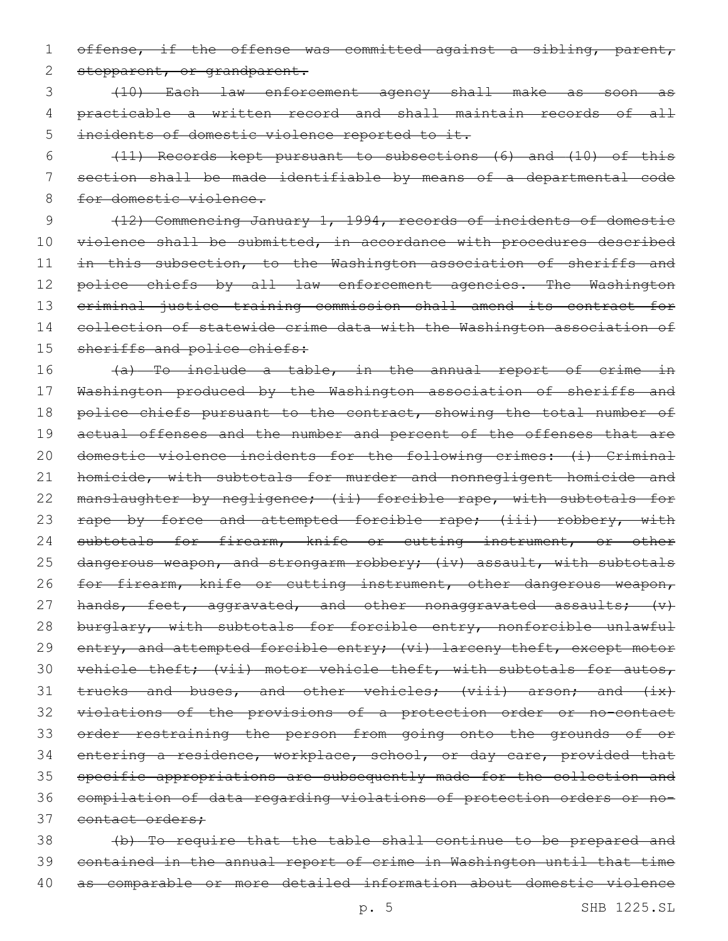1 offense, if the offense was committed against a sibling, parent,

2 stepparent, or grandparent.

3 (10) Each law enforcement agency shall make as soon as 4 practicable a written record and shall maintain records of all 5 incidents of domestic violence reported to it.

6 (11) Records kept pursuant to subsections (6) and (10) of this 7 section shall be made identifiable by means of a departmental code 8 for domestic violence.

9 (12) Commencing January 1, 1994, records of incidents of domestic 10 violence shall be submitted, in accordance with procedures described 11 in this subsection, to the Washington association of sheriffs and 12 police chiefs by all law enforcement agencies. The Washington 13 criminal justice training commission shall amend its contract for 14 collection of statewide crime data with the Washington association of 15 sheriffs and police chiefs:

16 (a) To include a table, in the annual report of crime in 17 Washington produced by the Washington association of sheriffs and 18 police chiefs pursuant to the contract, showing the total number of 19 actual offenses and the number and percent of the offenses that are 20 domestic violence incidents for the following crimes: (i) Criminal 21 homicide, with subtotals for murder and nonnegligent homicide and 22 manslaughter by negligence; (ii) forcible rape, with subtotals for 23 rape by force and attempted forcible rape; (iii) robbery, with 24 subtotals for firearm, knife or cutting instrument, or other 25 dangerous weapon, and strongarm robbery; (iv) assault, with subtotals 26 for firearm, knife or cutting instrument, other dangerous weapon, 27 hands, feet, aggravated, and other nonaggravated assaults; (v) 28 burglary, with subtotals for forcible entry, nonforcible unlawful 29 entry, and attempted forcible entry; (vi) larceny theft, except motor 30 vehicle theft; (vii) motor vehicle theft, with subtotals for autos, 31 trucks and buses, and other vehicles; (viii) arson; and (ix) 32 violations of the provisions of a protection order or no-contact 33 order restraining the person from going onto the grounds of or 34 entering a residence, workplace, school, or day care, provided that 35 specific appropriations are subsequently made for the collection and 36 compilation of data regarding violations of protection orders or no-37 contact orders:

38 (b) To require that the table shall continue to be prepared and 39 contained in the annual report of crime in Washington until that time 40 as comparable or more detailed information about domestic violence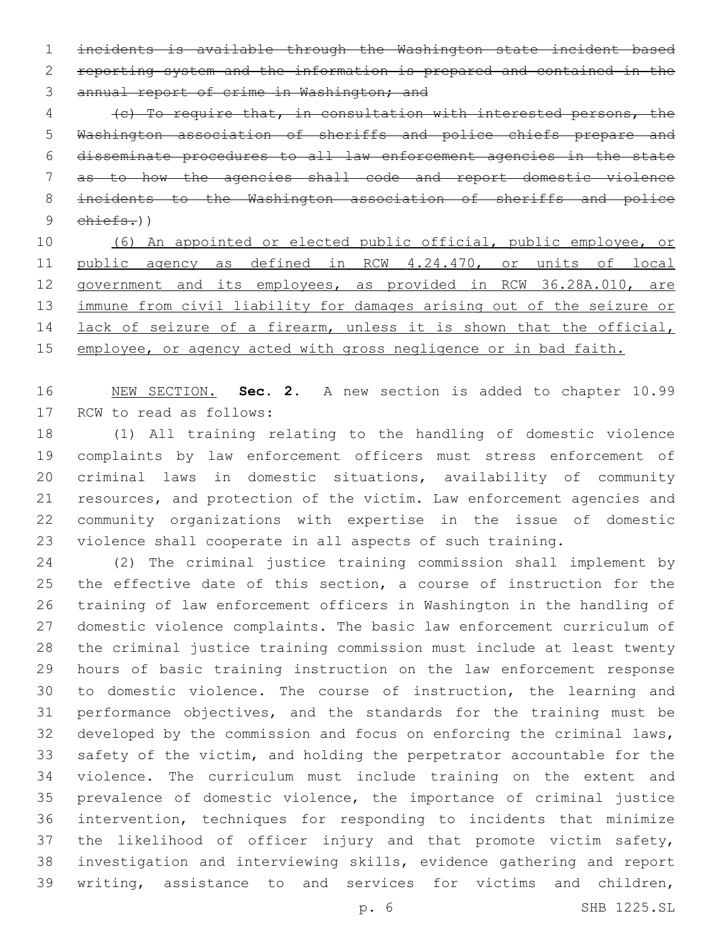incidents is available through the Washington state incident based reporting system and the information is prepared and contained in the 3 annual report of crime in Washington; and

 (c) To require that, in consultation with interested persons, the Washington association of sheriffs and police chiefs prepare and disseminate procedures to all law enforcement agencies in the state as to how the agencies shall code and report domestic violence incidents to the Washington association of sheriffs and police chiefs.))

 (6) An appointed or elected public official, public employee, or public agency as defined in RCW 4.24.470, or units of local government and its employees, as provided in RCW 36.28A.010, are 13 immune from civil liability for damages arising out of the seizure or 14 lack of seizure of a firearm, unless it is shown that the official, employee, or agency acted with gross negligence or in bad faith.

 NEW SECTION. **Sec. 2.** A new section is added to chapter 10.99 17 RCW to read as follows:

 (1) All training relating to the handling of domestic violence complaints by law enforcement officers must stress enforcement of criminal laws in domestic situations, availability of community resources, and protection of the victim. Law enforcement agencies and community organizations with expertise in the issue of domestic violence shall cooperate in all aspects of such training.

 (2) The criminal justice training commission shall implement by the effective date of this section, a course of instruction for the training of law enforcement officers in Washington in the handling of domestic violence complaints. The basic law enforcement curriculum of the criminal justice training commission must include at least twenty hours of basic training instruction on the law enforcement response to domestic violence. The course of instruction, the learning and performance objectives, and the standards for the training must be developed by the commission and focus on enforcing the criminal laws, safety of the victim, and holding the perpetrator accountable for the violence. The curriculum must include training on the extent and prevalence of domestic violence, the importance of criminal justice intervention, techniques for responding to incidents that minimize the likelihood of officer injury and that promote victim safety, investigation and interviewing skills, evidence gathering and report writing, assistance to and services for victims and children,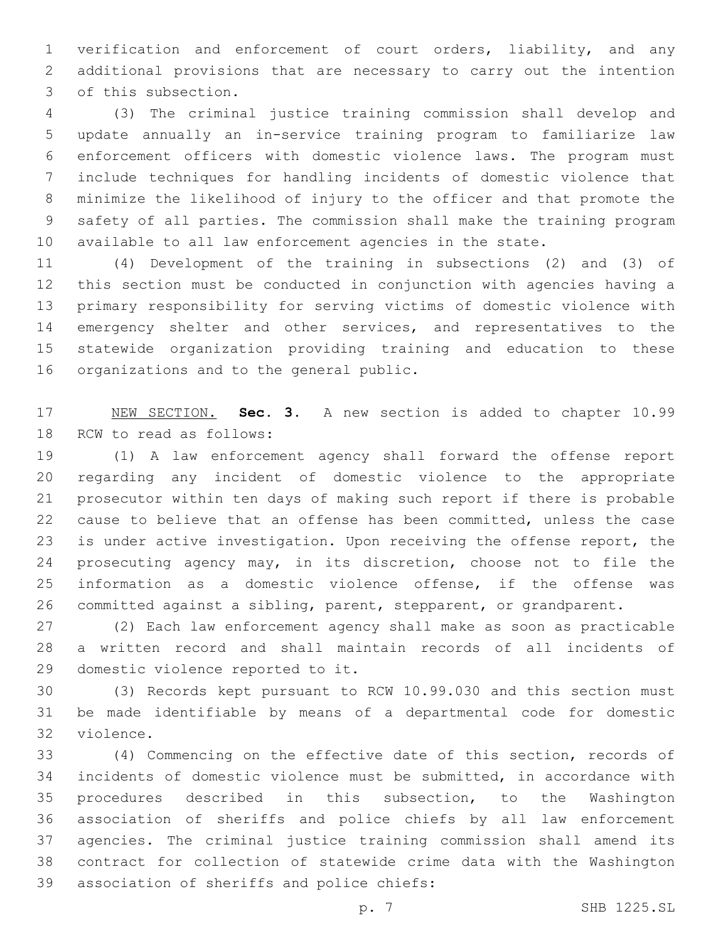verification and enforcement of court orders, liability, and any additional provisions that are necessary to carry out the intention 3 of this subsection.

 (3) The criminal justice training commission shall develop and update annually an in-service training program to familiarize law enforcement officers with domestic violence laws. The program must include techniques for handling incidents of domestic violence that minimize the likelihood of injury to the officer and that promote the safety of all parties. The commission shall make the training program available to all law enforcement agencies in the state.

 (4) Development of the training in subsections (2) and (3) of this section must be conducted in conjunction with agencies having a primary responsibility for serving victims of domestic violence with emergency shelter and other services, and representatives to the statewide organization providing training and education to these 16 organizations and to the general public.

 NEW SECTION. **Sec. 3.** A new section is added to chapter 10.99 18 RCW to read as follows:

 (1) A law enforcement agency shall forward the offense report regarding any incident of domestic violence to the appropriate prosecutor within ten days of making such report if there is probable cause to believe that an offense has been committed, unless the case is under active investigation. Upon receiving the offense report, the prosecuting agency may, in its discretion, choose not to file the information as a domestic violence offense, if the offense was committed against a sibling, parent, stepparent, or grandparent.

 (2) Each law enforcement agency shall make as soon as practicable a written record and shall maintain records of all incidents of 29 domestic violence reported to it.

 (3) Records kept pursuant to RCW 10.99.030 and this section must be made identifiable by means of a departmental code for domestic 32 violence.

 (4) Commencing on the effective date of this section, records of incidents of domestic violence must be submitted, in accordance with procedures described in this subsection, to the Washington association of sheriffs and police chiefs by all law enforcement agencies. The criminal justice training commission shall amend its contract for collection of statewide crime data with the Washington 39 association of sheriffs and police chiefs: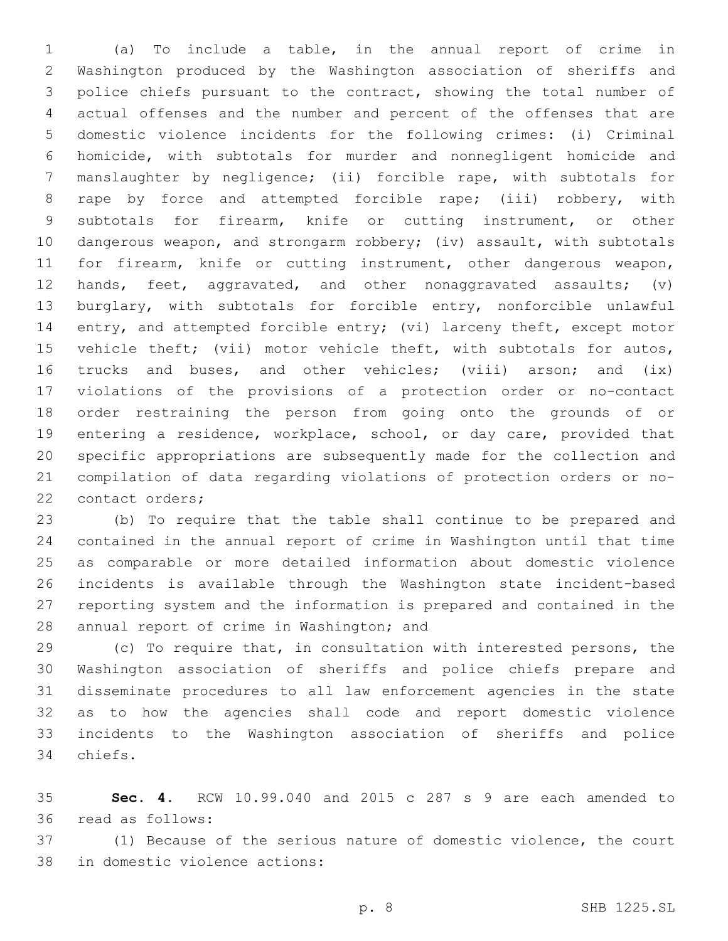(a) To include a table, in the annual report of crime in Washington produced by the Washington association of sheriffs and police chiefs pursuant to the contract, showing the total number of actual offenses and the number and percent of the offenses that are domestic violence incidents for the following crimes: (i) Criminal homicide, with subtotals for murder and nonnegligent homicide and manslaughter by negligence; (ii) forcible rape, with subtotals for rape by force and attempted forcible rape; (iii) robbery, with subtotals for firearm, knife or cutting instrument, or other dangerous weapon, and strongarm robbery; (iv) assault, with subtotals for firearm, knife or cutting instrument, other dangerous weapon, hands, feet, aggravated, and other nonaggravated assaults; (v) burglary, with subtotals for forcible entry, nonforcible unlawful 14 entry, and attempted forcible entry; (vi) larceny theft, except motor vehicle theft; (vii) motor vehicle theft, with subtotals for autos, trucks and buses, and other vehicles; (viii) arson; and (ix) violations of the provisions of a protection order or no-contact order restraining the person from going onto the grounds of or entering a residence, workplace, school, or day care, provided that specific appropriations are subsequently made for the collection and compilation of data regarding violations of protection orders or no-22 contact orders;

 (b) To require that the table shall continue to be prepared and contained in the annual report of crime in Washington until that time as comparable or more detailed information about domestic violence incidents is available through the Washington state incident-based reporting system and the information is prepared and contained in the 28 annual report of crime in Washington; and

 (c) To require that, in consultation with interested persons, the Washington association of sheriffs and police chiefs prepare and disseminate procedures to all law enforcement agencies in the state as to how the agencies shall code and report domestic violence incidents to the Washington association of sheriffs and police 34 chiefs.

 **Sec. 4.** RCW 10.99.040 and 2015 c 287 s 9 are each amended to read as follows:36

 (1) Because of the serious nature of domestic violence, the court 38 in domestic violence actions: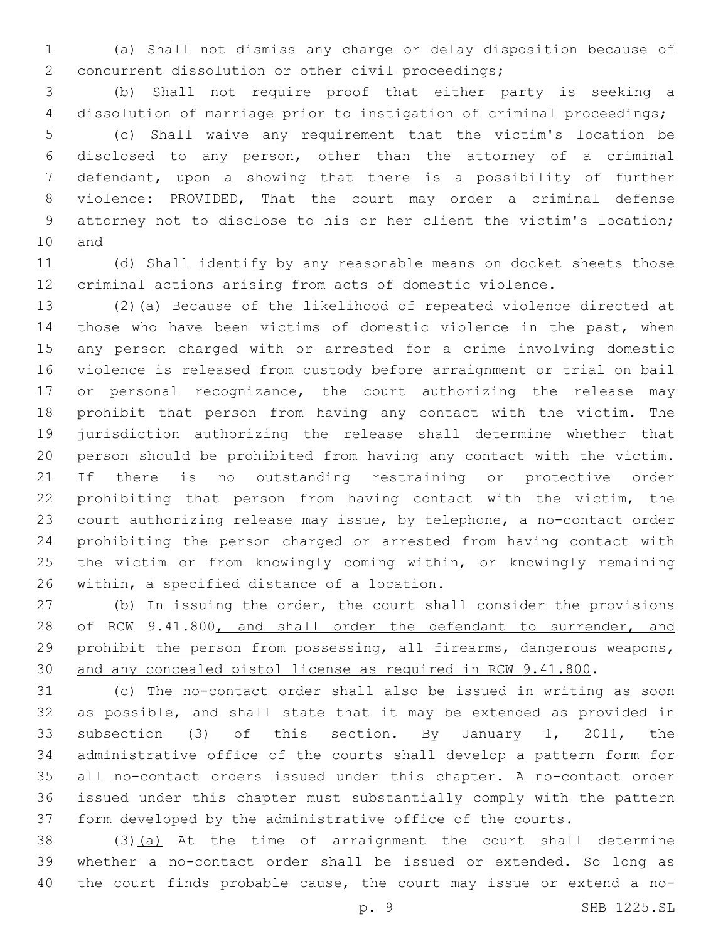(a) Shall not dismiss any charge or delay disposition because of 2 concurrent dissolution or other civil proceedings;

 (b) Shall not require proof that either party is seeking a dissolution of marriage prior to instigation of criminal proceedings; (c) Shall waive any requirement that the victim's location be

 disclosed to any person, other than the attorney of a criminal defendant, upon a showing that there is a possibility of further violence: PROVIDED, That the court may order a criminal defense attorney not to disclose to his or her client the victim's location; 10 and

 (d) Shall identify by any reasonable means on docket sheets those criminal actions arising from acts of domestic violence.

 (2)(a) Because of the likelihood of repeated violence directed at those who have been victims of domestic violence in the past, when any person charged with or arrested for a crime involving domestic violence is released from custody before arraignment or trial on bail 17 or personal recognizance, the court authorizing the release may prohibit that person from having any contact with the victim. The jurisdiction authorizing the release shall determine whether that person should be prohibited from having any contact with the victim. If there is no outstanding restraining or protective order prohibiting that person from having contact with the victim, the court authorizing release may issue, by telephone, a no-contact order prohibiting the person charged or arrested from having contact with the victim or from knowingly coming within, or knowingly remaining 26 within, a specified distance of a location.

 (b) In issuing the order, the court shall consider the provisions 28 of RCW 9.41.800, and shall order the defendant to surrender, and prohibit the person from possessing, all firearms, dangerous weapons, and any concealed pistol license as required in RCW 9.41.800.

 (c) The no-contact order shall also be issued in writing as soon as possible, and shall state that it may be extended as provided in subsection (3) of this section. By January 1, 2011, the administrative office of the courts shall develop a pattern form for all no-contact orders issued under this chapter. A no-contact order issued under this chapter must substantially comply with the pattern form developed by the administrative office of the courts.

38 (3)(a) At the time of arraignment the court shall determine whether a no-contact order shall be issued or extended. So long as the court finds probable cause, the court may issue or extend a no-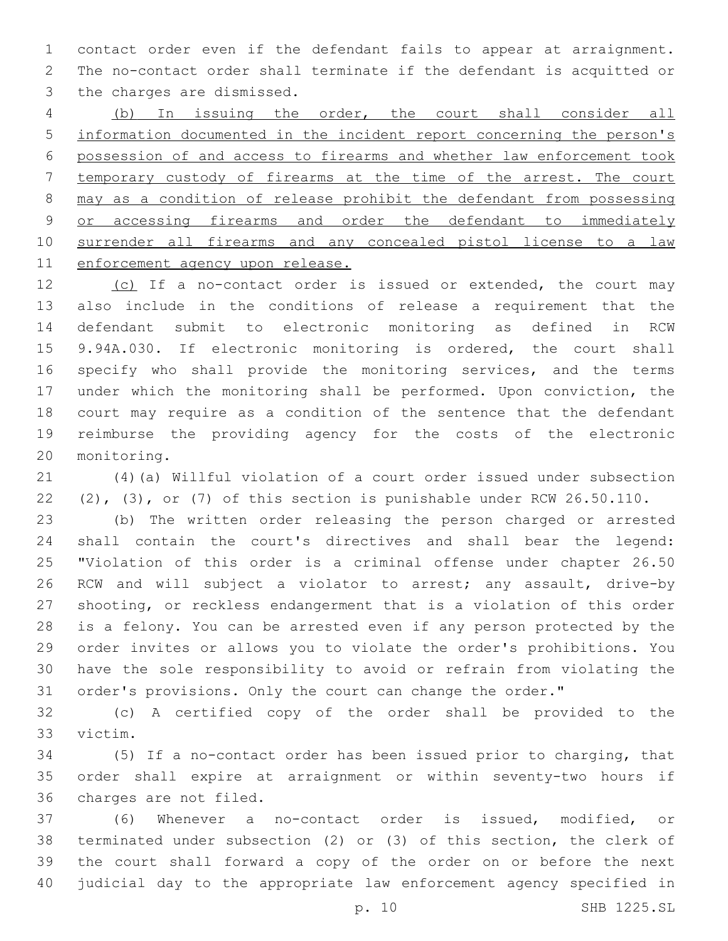contact order even if the defendant fails to appear at arraignment. The no-contact order shall terminate if the defendant is acquitted or 3 the charges are dismissed.

 (b) In issuing the order, the court shall consider all information documented in the incident report concerning the person's possession of and access to firearms and whether law enforcement took temporary custody of firearms at the time of the arrest. The court may as a condition of release prohibit the defendant from possessing 9 or accessing firearms and order the defendant to immediately surrender all firearms and any concealed pistol license to a law enforcement agency upon release.

12 (c) If a no-contact order is issued or extended, the court may also include in the conditions of release a requirement that the defendant submit to electronic monitoring as defined in RCW 9.94A.030. If electronic monitoring is ordered, the court shall 16 specify who shall provide the monitoring services, and the terms under which the monitoring shall be performed. Upon conviction, the court may require as a condition of the sentence that the defendant reimburse the providing agency for the costs of the electronic 20 monitoring.

 (4)(a) Willful violation of a court order issued under subsection (2), (3), or (7) of this section is punishable under RCW 26.50.110.

 (b) The written order releasing the person charged or arrested shall contain the court's directives and shall bear the legend: "Violation of this order is a criminal offense under chapter 26.50 RCW and will subject a violator to arrest; any assault, drive-by shooting, or reckless endangerment that is a violation of this order is a felony. You can be arrested even if any person protected by the order invites or allows you to violate the order's prohibitions. You have the sole responsibility to avoid or refrain from violating the order's provisions. Only the court can change the order."

 (c) A certified copy of the order shall be provided to the 33 victim.

 (5) If a no-contact order has been issued prior to charging, that order shall expire at arraignment or within seventy-two hours if 36 charges are not filed.

 (6) Whenever a no-contact order is issued, modified, or terminated under subsection (2) or (3) of this section, the clerk of the court shall forward a copy of the order on or before the next judicial day to the appropriate law enforcement agency specified in

p. 10 SHB 1225.SL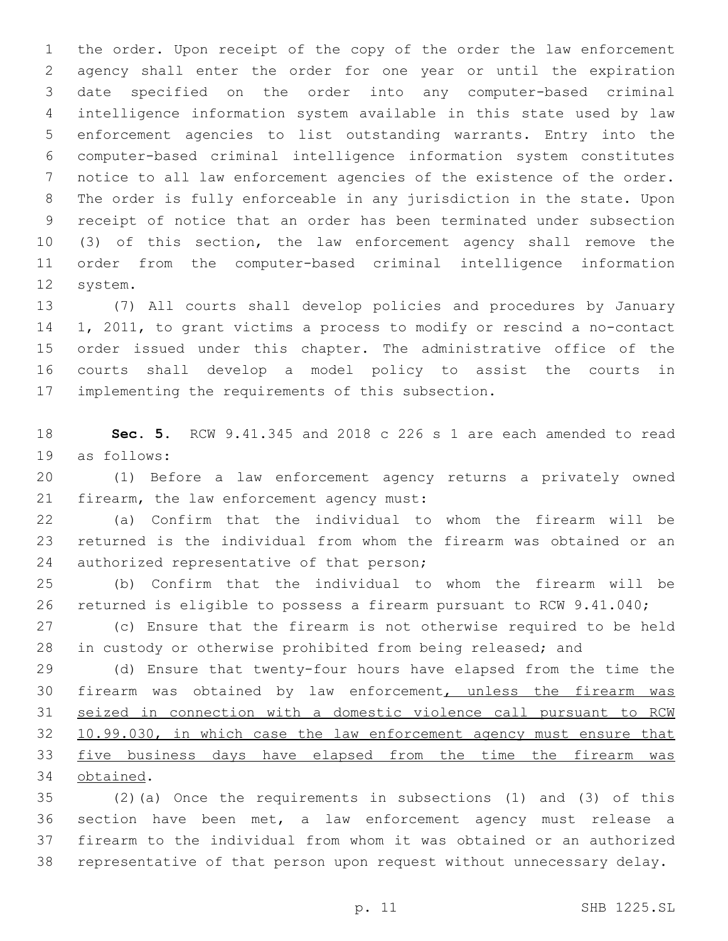the order. Upon receipt of the copy of the order the law enforcement agency shall enter the order for one year or until the expiration date specified on the order into any computer-based criminal intelligence information system available in this state used by law enforcement agencies to list outstanding warrants. Entry into the computer-based criminal intelligence information system constitutes notice to all law enforcement agencies of the existence of the order. The order is fully enforceable in any jurisdiction in the state. Upon receipt of notice that an order has been terminated under subsection (3) of this section, the law enforcement agency shall remove the order from the computer-based criminal intelligence information 12 system.

 (7) All courts shall develop policies and procedures by January 1, 2011, to grant victims a process to modify or rescind a no-contact order issued under this chapter. The administrative office of the courts shall develop a model policy to assist the courts in 17 implementing the requirements of this subsection.

 **Sec. 5.** RCW 9.41.345 and 2018 c 226 s 1 are each amended to read 19 as follows:

 (1) Before a law enforcement agency returns a privately owned 21 firearm, the law enforcement agency must:

 (a) Confirm that the individual to whom the firearm will be returned is the individual from whom the firearm was obtained or an 24 authorized representative of that person;

 (b) Confirm that the individual to whom the firearm will be returned is eligible to possess a firearm pursuant to RCW 9.41.040;

 (c) Ensure that the firearm is not otherwise required to be held in custody or otherwise prohibited from being released; and

 (d) Ensure that twenty-four hours have elapsed from the time the firearm was obtained by law enforcement, unless the firearm was seized in connection with a domestic violence call pursuant to RCW 10.99.030, in which case the law enforcement agency must ensure that five business days have elapsed from the time the firearm was 34 obtained.

 (2)(a) Once the requirements in subsections (1) and (3) of this section have been met, a law enforcement agency must release a firearm to the individual from whom it was obtained or an authorized representative of that person upon request without unnecessary delay.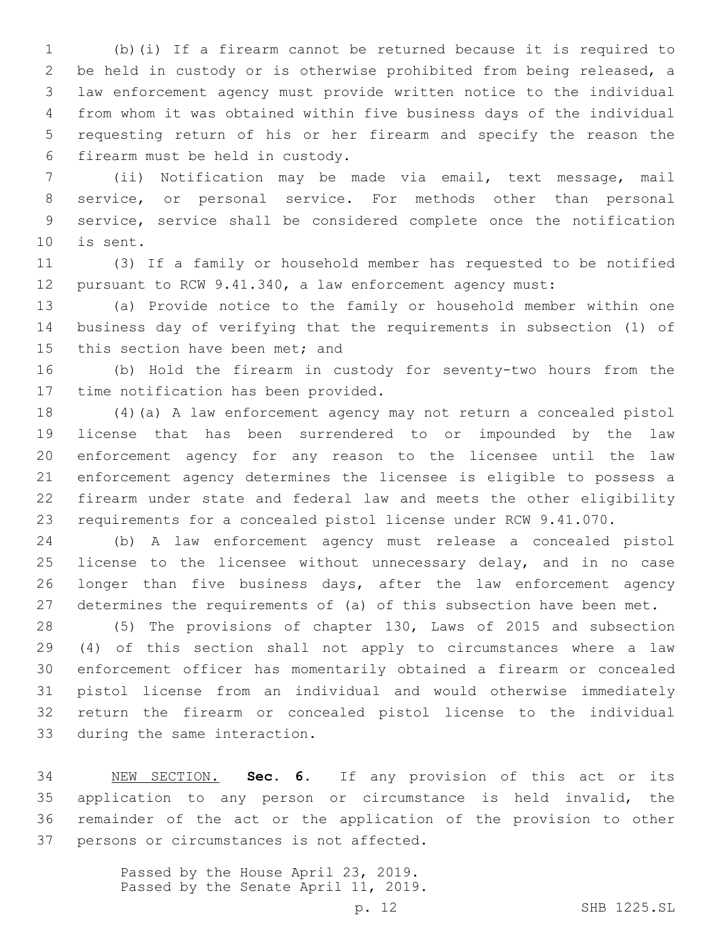(b)(i) If a firearm cannot be returned because it is required to be held in custody or is otherwise prohibited from being released, a law enforcement agency must provide written notice to the individual from whom it was obtained within five business days of the individual requesting return of his or her firearm and specify the reason the firearm must be held in custody.6

 (ii) Notification may be made via email, text message, mail service, or personal service. For methods other than personal service, service shall be considered complete once the notification 10 is sent.

 (3) If a family or household member has requested to be notified pursuant to RCW 9.41.340, a law enforcement agency must:

 (a) Provide notice to the family or household member within one business day of verifying that the requirements in subsection (1) of 15 this section have been met; and

 (b) Hold the firearm in custody for seventy-two hours from the 17 time notification has been provided.

 (4)(a) A law enforcement agency may not return a concealed pistol license that has been surrendered to or impounded by the law enforcement agency for any reason to the licensee until the law enforcement agency determines the licensee is eligible to possess a firearm under state and federal law and meets the other eligibility requirements for a concealed pistol license under RCW 9.41.070.

 (b) A law enforcement agency must release a concealed pistol 25 license to the licensee without unnecessary delay, and in no case 26 longer than five business days, after the law enforcement agency determines the requirements of (a) of this subsection have been met.

 (5) The provisions of chapter 130, Laws of 2015 and subsection (4) of this section shall not apply to circumstances where a law enforcement officer has momentarily obtained a firearm or concealed pistol license from an individual and would otherwise immediately return the firearm or concealed pistol license to the individual 33 during the same interaction.

 NEW SECTION. **Sec. 6.** If any provision of this act or its application to any person or circumstance is held invalid, the remainder of the act or the application of the provision to other persons or circumstances is not affected.

> Passed by the House April 23, 2019. Passed by the Senate April 11, 2019.